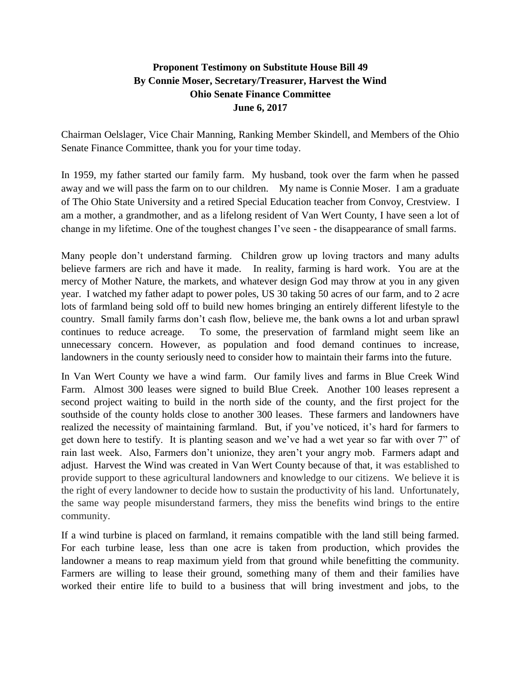## **Proponent Testimony on Substitute House Bill 49 By Connie Moser, Secretary/Treasurer, Harvest the Wind Ohio Senate Finance Committee June 6, 2017**

Chairman Oelslager, Vice Chair Manning, Ranking Member Skindell, and Members of the Ohio Senate Finance Committee, thank you for your time today.

In 1959, my father started our family farm. My husband, took over the farm when he passed away and we will pass the farm on to our children. My name is Connie Moser. I am a graduate of The Ohio State University and a retired Special Education teacher from Convoy, Crestview. I am a mother, a grandmother, and as a lifelong resident of Van Wert County, I have seen a lot of change in my lifetime. One of the toughest changes I've seen - the disappearance of small farms.

Many people don't understand farming. Children grow up loving tractors and many adults believe farmers are rich and have it made. In reality, farming is hard work. You are at the mercy of Mother Nature, the markets, and whatever design God may throw at you in any given year. I watched my father adapt to power poles, US 30 taking 50 acres of our farm, and to 2 acre lots of farmland being sold off to build new homes bringing an entirely different lifestyle to the country. Small family farms don't cash flow, believe me, the bank owns a lot and urban sprawl continues to reduce acreage. To some, the preservation of farmland might seem like an unnecessary concern. However, as population and food demand continues to increase, landowners in the county seriously need to consider how to maintain their farms into the future.

In Van Wert County we have a wind farm. Our family lives and farms in Blue Creek Wind Farm. Almost 300 leases were signed to build Blue Creek. Another 100 leases represent a second project waiting to build in the north side of the county, and the first project for the southside of the county holds close to another 300 leases. These farmers and landowners have realized the necessity of maintaining farmland. But, if you've noticed, it's hard for farmers to get down here to testify. It is planting season and we've had a wet year so far with over 7" of rain last week. Also, Farmers don't unionize, they aren't your angry mob. Farmers adapt and adjust. Harvest the Wind was created in Van Wert County because of that, it was established to provide support to these agricultural landowners and knowledge to our citizens. We believe it is the right of every landowner to decide how to sustain the productivity of his land. Unfortunately, the same way people misunderstand farmers, they miss the benefits wind brings to the entire community.

If a wind turbine is placed on farmland, it remains compatible with the land still being farmed. For each turbine lease, less than one acre is taken from production, which provides the landowner a means to reap maximum yield from that ground while benefitting the community. Farmers are willing to lease their ground, something many of them and their families have worked their entire life to build to a business that will bring investment and jobs, to the